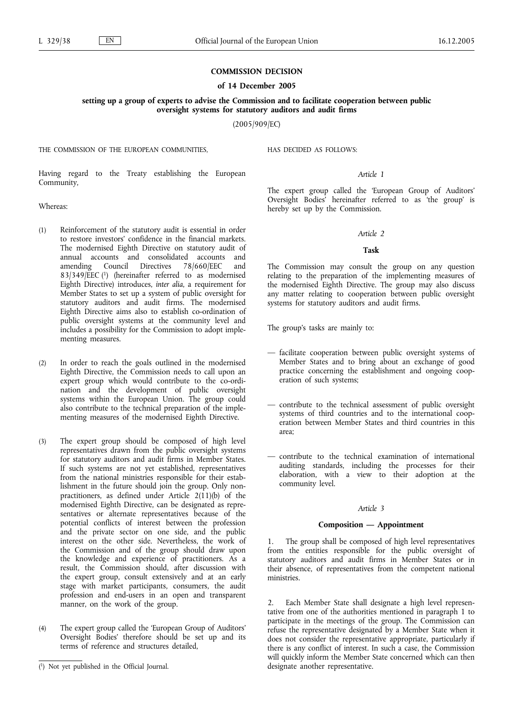## **COMMISSION DECISION**

## **of 14 December 2005**

**setting up a group of experts to advise the Commission and to facilitate cooperation between public oversight systems for statutory auditors and audit firms**

(2005/909/EC)

THE COMMISSION OF THE EUROPEAN COMMUNITIES,

HAS DECIDED AS FOLLOWS:

Having regard to the Treaty establishing the European Community,

Whereas:

- (1) Reinforcement of the statutory audit is essential in order to restore investors' confidence in the financial markets. The modernised Eighth Directive on statutory audit of annual accounts and consolidated accounts and amending Council Directives 78/660/EEC and 83/349/EEC (1) (hereinafter referred to as modernised Eighth Directive) introduces, *inter alia*, a requirement for Member States to set up a system of public oversight for statutory auditors and audit firms. The modernised Eighth Directive aims also to establish co-ordination of public oversight systems at the community level and includes a possibility for the Commission to adopt implementing measures.
- (2) In order to reach the goals outlined in the modernised Eighth Directive, the Commission needs to call upon an expert group which would contribute to the co-ordination and the development of public oversight systems within the European Union. The group could also contribute to the technical preparation of the implementing measures of the modernised Eighth Directive.
- (3) The expert group should be composed of high level representatives drawn from the public oversight systems for statutory auditors and audit firms in Member States. If such systems are not yet established, representatives from the national ministries responsible for their establishment in the future should join the group. Only nonpractitioners, as defined under Article  $2(11)(b)$  of the modernised Eighth Directive, can be designated as representatives or alternate representatives because of the potential conflicts of interest between the profession and the private sector on one side, and the public interest on the other side. Nevertheless, the work of the Commission and of the group should draw upon the knowledge and experience of practitioners. As a result, the Commission should, after discussion with the expert group, consult extensively and at an early stage with market participants, consumers, the audit profession and end-users in an open and transparent manner, on the work of the group.
- (4) The expert group called the 'European Group of Auditors' Oversight Bodies' therefore should be set up and its terms of reference and structures detailed,

*Article 1*

The expert group called the 'European Group of Auditors' Oversight Bodies' hereinafter referred to as 'the group' is hereby set up by the Commission.

#### *Article 2*

#### **Task**

The Commission may consult the group on any question relating to the preparation of the implementing measures of the modernised Eighth Directive. The group may also discuss any matter relating to cooperation between public oversight systems for statutory auditors and audit firms.

The group's tasks are mainly to:

- facilitate cooperation between public oversight systems of Member States and to bring about an exchange of good practice concerning the establishment and ongoing cooperation of such systems;
- contribute to the technical assessment of public oversight systems of third countries and to the international cooperation between Member States and third countries in this area;
- contribute to the technical examination of international auditing standards, including the processes for their elaboration, with a view to their adoption at the community level.

### *Article 3*

# **Composition** *—* **Appointment**

1. The group shall be composed of high level representatives from the entities responsible for the public oversight of statutory auditors and audit firms in Member States or in their absence, of representatives from the competent national ministries.

2. Each Member State shall designate a high level representative from one of the authorities mentioned in paragraph 1 to participate in the meetings of the group. The Commission can refuse the representative designated by a Member State when it does not consider the representative appropriate, particularly if there is any conflict of interest. In such a case, the Commission will quickly inform the Member State concerned which can then designate another representative.

<sup>(</sup> 1) Not yet published in the Official Journal.